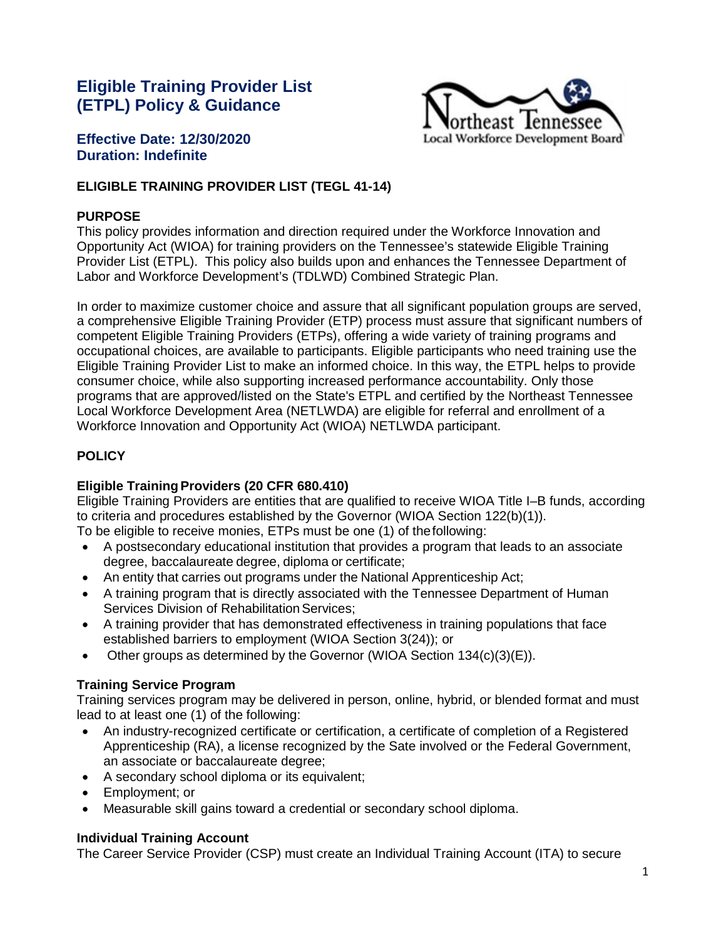# **Eligible Training Provider List (ETPL) Policy & Guidance**



### **Effective Date: 12/30/2020 Duration: Indefinite**

# **ELIGIBLE TRAINING PROVIDER LIST (TEGL 41-14)**

#### **PURPOSE**

This policy provides information and direction required under the Workforce Innovation and Opportunity Act (WIOA) for training providers on the Tennessee's statewide Eligible Training Provider List (ETPL). This policy also builds upon and enhances the Tennessee Department of Labor and Workforce Development's (TDLWD) Combined Strategic Plan.

In order to maximize customer choice and assure that all significant population groups are served, a comprehensive Eligible Training Provider (ETP) process must assure that significant numbers of competent Eligible Training Providers (ETPs), offering a wide variety of training programs and occupational choices, are available to participants. Eligible participants who need training use the Eligible Training Provider List to make an informed choice. In this way, the ETPL helps to provide consumer choice, while also supporting increased performance accountability. Only those programs that are approved/listed on the State's ETPL and certified by the Northeast Tennessee Local Workforce Development Area (NETLWDA) are eligible for referral and enrollment of a Workforce Innovation and Opportunity Act (WIOA) NETLWDA participant.

# **POLICY**

#### **Eligible TrainingProviders (20 CFR 680.410)**

Eligible Training Providers are entities that are qualified to receive WIOA Title I–B funds, according to criteria and procedures established by the Governor (WIOA Section 122(b)(1)). To be eligible to receive monies, ETPs must be one (1) of thefollowing:

- A postsecondary educational institution that provides a program that leads to an associate degree, baccalaureate degree, diploma or certificate;
- An entity that carries out programs under the National Apprenticeship Act;
- A training program that is directly associated with the Tennessee Department of Human Services Division of Rehabilitation Services;
- A training provider that has demonstrated effectiveness in training populations that face established barriers to employment (WIOA Section 3(24)); or
- Other groups as determined by the Governor (WIOA Section  $134(c)(3)(E)$ ).

### **Training Service Program**

Training services program may be delivered in person, online, hybrid, or blended format and must lead to at least one (1) of the following:

- An industry-recognized certificate or certification, a certificate of completion of a Registered Apprenticeship (RA), a license recognized by the Sate involved or the Federal Government, an associate or baccalaureate degree;
- A secondary school diploma or its equivalent;
- Employment; or
- Measurable skill gains toward a credential or secondary school diploma.

#### **Individual Training Account**

The Career Service Provider (CSP) must create an Individual Training Account (ITA) to secure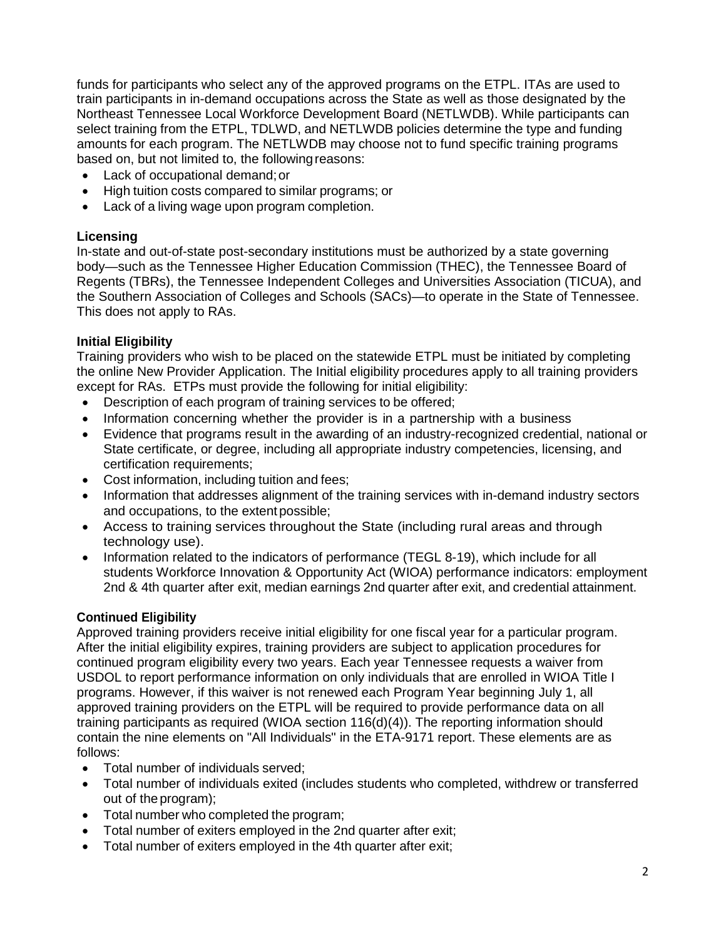funds for participants who select any of the approved programs on the ETPL. ITAs are used to train participants in in-demand occupations across the State as well as those designated by the Northeast Tennessee Local Workforce Development Board (NETLWDB). While participants can select training from the ETPL, TDLWD, and NETLWDB policies determine the type and funding amounts for each program. The NETLWDB may choose not to fund specific training programs based on, but not limited to, the followingreasons:

- Lack of occupational demand;or
- High tuition costs compared to similar programs; or
- Lack of a living wage upon program completion.

### **Licensing**

In-state and out-of-state post-secondary institutions must be authorized by a state governing body—such as the Tennessee Higher Education Commission (THEC), the Tennessee Board of Regents (TBRs), the Tennessee Independent Colleges and Universities Association (TICUA), and the Southern Association of Colleges and Schools (SACs)—to operate in the State of Tennessee. This does not apply to RAs.

### **Initial Eligibility**

Training providers who wish to be placed on the statewide ETPL must be initiated by completing the online New Provider Application. The Initial eligibility procedures apply to all training providers except for RAs. ETPs must provide the following for initial eligibility:

- Description of each program of training services to be offered;
- Information concerning whether the provider is in a partnership with a business
- Evidence that programs result in the awarding of an industry-recognized credential, national or State certificate, or degree, including all appropriate industry competencies, licensing, and certification requirements;
- Cost information, including tuition and fees;
- Information that addresses alignment of the training services with in-demand industry sectors and occupations, to the extent possible;
- Access to training services throughout the State (including rural areas and through technology use).
- Information related to the indicators of performance (TEGL 8-19), which include for all students Workforce Innovation & Opportunity Act (WIOA) performance indicators: employment 2nd & 4th quarter after exit, median earnings 2nd quarter after exit, and credential attainment.

# **Continued Eligibility**

Approved training providers receive initial eligibility for one fiscal year for a particular program. After the initial eligibility expires, training providers are subject to application procedures for continued program eligibility every two years. Each year Tennessee requests a waiver from USDOL to report performance information on only individuals that are enrolled in WIOA Title I programs. However, if this waiver is not renewed each Program Year beginning July 1, all approved training providers on the ETPL will be required to provide performance data on all training participants as required (WIOA section 116(d)(4)). The reporting information should contain the nine elements on "All Individuals" in the ETA-9171 report. These elements are as follows:

- Total number of individuals served;
- Total number of individuals exited (includes students who completed, withdrew or transferred out of the program);
- Total number who completed the program;
- Total number of exiters employed in the 2nd quarter after exit;
- Total number of exiters employed in the 4th quarter after exit;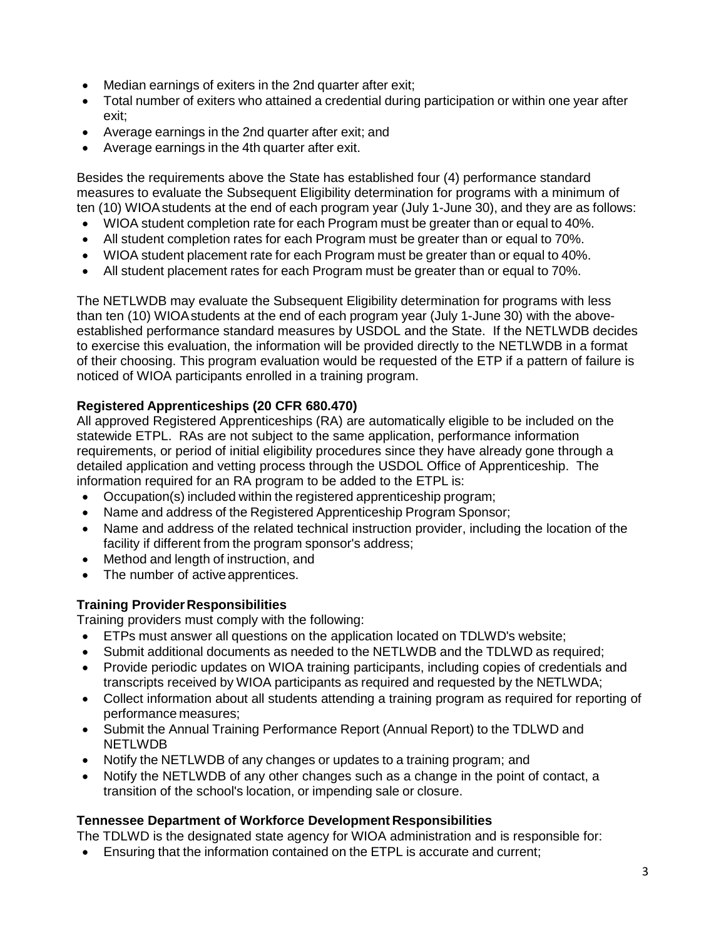- Median earnings of exiters in the 2nd quarter after exit;
- Total number of exiters who attained a credential during participation or within one year after exit;
- Average earnings in the 2nd quarter after exit; and
- Average earnings in the 4th quarter after exit.

Besides the requirements above the State has established four (4) performance standard measures to evaluate the Subsequent Eligibility determination for programs with a minimum of ten (10) WIOAstudents at the end of each program year (July 1-June 30), and they are as follows:

- WIOA student completion rate for each Program must be greater than or equal to 40%.
- All student completion rates for each Program must be greater than or equal to 70%.
- WIOA student placement rate for each Program must be greater than or equal to 40%.
- All student placement rates for each Program must be greater than or equal to 70%.

The NETLWDB may evaluate the Subsequent Eligibility determination for programs with less than ten (10) WIOAstudents at the end of each program year (July 1-June 30) with the aboveestablished performance standard measures by USDOL and the State. If the NETLWDB decides to exercise this evaluation, the information will be provided directly to the NETLWDB in a format of their choosing. This program evaluation would be requested of the ETP if a pattern of failure is noticed of WIOA participants enrolled in a training program.

### **Registered Apprenticeships (20 CFR 680.470)**

All approved Registered Apprenticeships (RA) are automatically eligible to be included on the statewide ETPL. RAs are not subject to the same application, performance information requirements, or period of initial eligibility procedures since they have already gone through a detailed application and vetting process through the USDOL Office of Apprenticeship. The information required for an RA program to be added to the ETPL is:

- Occupation(s) included within the registered apprenticeship program;
- Name and address of the Registered Apprenticeship Program Sponsor;
- Name and address of the related technical instruction provider, including the location of the facility if different from the program sponsor's address;
- Method and length of instruction, and
- The number of active apprentices.

### **Training ProviderResponsibilities**

Training providers must comply with the following:

- ETPs must answer all questions on the application located on TDLWD's website;
- Submit additional documents as needed to the NETLWDB and the TDLWD as required;
- Provide periodic updates on WIOA training participants, including copies of credentials and transcripts received by WIOA participants as required and requested by the NETLWDA;
- Collect information about all students attending a training program as required for reporting of performance measures;
- Submit the Annual Training Performance Report (Annual Report) to the TDLWD and NETLWDB
- Notify the NETLWDB of any changes or updates to a training program; and
- Notify the NETLWDB of any other changes such as a change in the point of contact, a transition of the school's location, or impending sale or closure.

#### **Tennessee Department of Workforce Development Responsibilities**

The TDLWD is the designated state agency for WIOA administration and is responsible for:

• Ensuring that the information contained on the ETPL is accurate and current;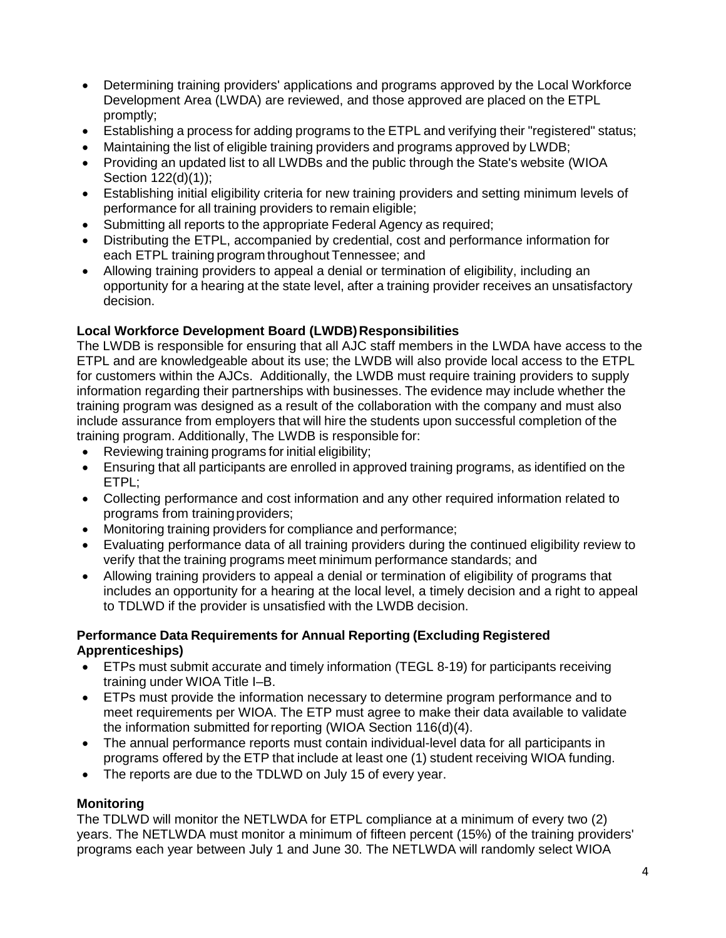- Determining training providers' applications and programs approved by the Local Workforce Development Area (LWDA) are reviewed, and those approved are placed on the ETPL promptly;
- Establishing a process for adding programs to the ETPL and verifying their "registered" status;
- Maintaining the list of eligible training providers and programs approved by LWDB;
- Providing an updated list to all LWDBs and the public through the State's website (WIOA Section 122(d)(1));
- Establishing initial eligibility criteria for new training providers and setting minimum levels of performance for all training providers to remain eligible;
- Submitting all reports to the appropriate Federal Agency as required;
- Distributing the ETPL, accompanied by credential, cost and performance information for each ETPL training program throughout Tennessee; and
- Allowing training providers to appeal a denial or termination of eligibility, including an opportunity for a hearing at the state level, after a training provider receives an unsatisfactory decision.

### **Local Workforce Development Board (LWDB)Responsibilities**

The LWDB is responsible for ensuring that all AJC staff members in the LWDA have access to the ETPL and are knowledgeable about its use; the LWDB will also provide local access to the ETPL for customers within the AJCs. Additionally, the LWDB must require training providers to supply information regarding their partnerships with businesses. The evidence may include whether the training program was designed as a result of the collaboration with the company and must also include assurance from employers that will hire the students upon successful completion of the training program. Additionally, The LWDB is responsible for:

- Reviewing training programs for initial eligibility;
- Ensuring that all participants are enrolled in approved training programs, as identified on the ETPL;
- Collecting performance and cost information and any other required information related to programs from trainingproviders;
- Monitoring training providers for compliance and performance;
- Evaluating performance data of all training providers during the continued eligibility review to verify that the training programs meet minimum performance standards; and
- Allowing training providers to appeal a denial or termination of eligibility of programs that includes an opportunity for a hearing at the local level, a timely decision and a right to appeal to TDLWD if the provider is unsatisfied with the LWDB decision.

#### **Performance Data Requirements for Annual Reporting (Excluding Registered Apprenticeships)**

- ETPs must submit accurate and timely information (TEGL 8-19) for participants receiving training under WIOA Title I–B.
- ETPs must provide the information necessary to determine program performance and to meet requirements per WIOA. The ETP must agree to make their data available to validate the information submitted forreporting (WIOA Section 116(d)(4).
- The annual performance reports must contain individual-level data for all participants in programs offered by the ETP that include at least one (1) student receiving WIOA funding.
- The reports are due to the TDLWD on July 15 of every year.

### **Monitoring**

The TDLWD will monitor the NETLWDA for ETPL compliance at a minimum of every two (2) years. The NETLWDA must monitor a minimum of fifteen percent (15%) of the training providers' programs each year between July 1 and June 30. The NETLWDA will randomly select WIOA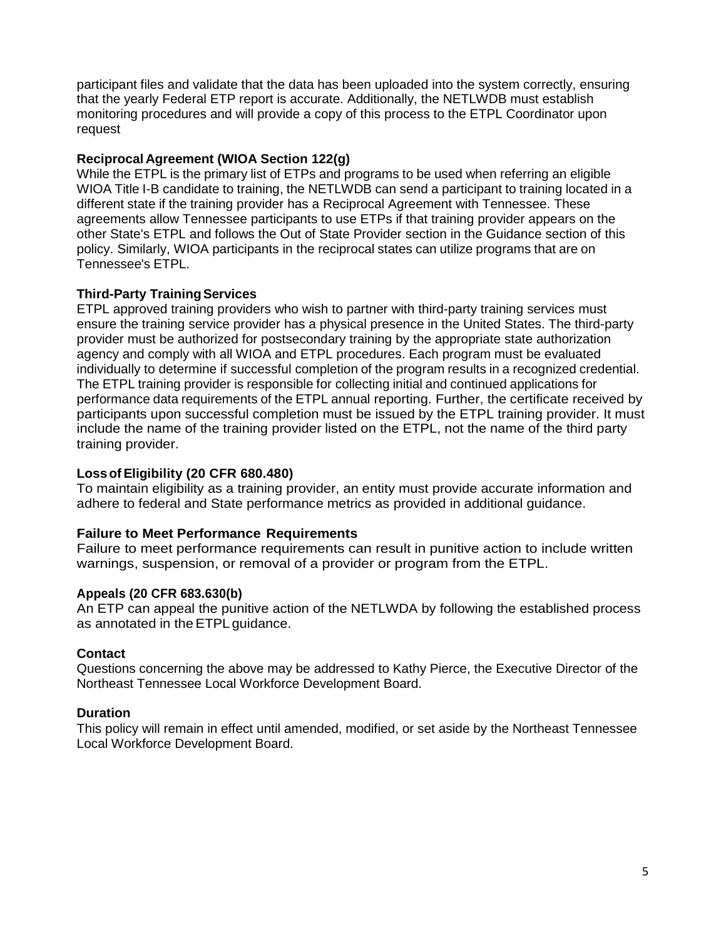participant files and validate that the data has been uploaded into the system correctly, ensuring that the yearly Federal ETP report is accurate. Additionally, the NETLWDB must establish monitoring procedures and will provide a copy of this process to the ETPL Coordinator upon request

#### **Reciprocal Agreement (WIOA Section 122(g)**

While the ETPL is the primary list of ETPs and programs to be used when referring an eligible WIOA Title I-B candidate to training, the NETLWDB can send a participant to training located in a different state if the training provider has a Reciprocal Agreement with Tennessee. These agreements allow Tennessee participants to use ETPs if that training provider appears on the other State's ETPL and follows the Out of State Provider section in the Guidance section of this policy. Similarly, WIOA participants in the reciprocal states can utilize programs that are on Tennessee's ETPL.

#### **Third-Party Training Services**

ETPL approved training providers who wish to partner with third-party training services must ensure the training service provider has a physical presence in the United States. The third-party provider must be authorized for postsecondary training by the appropriate state authorization agency and comply with all WIOA and ETPL procedures. Each program must be evaluated individually to determine if successful completion of the program results in a recognized credential. The ETPL training provider is responsible for collecting initial and continued applications for performance data requirements of the ETPL annual reporting. Further, the certificate received by participants upon successful completion must be issued by the ETPL training provider. It must include the name of the training provider listed on the ETPL, not the name of the third party training provider.

#### **Lossof Eligibility (20 CFR 680.480)**

To maintain eligibility as a training provider, an entity must provide accurate information and adhere to federal and State performance metrics as provided in additional guidance.

#### **Failure to Meet Performance Requirements**

Failure to meet performance requirements can result in punitive action to include written warnings, suspension, or removal of a provider or program from the ETPL.

#### **Appeals (20 CFR 683.630(b)**

An ETP can appeal the punitive action of the NETLWDA by following the established process as annotated in theETPL guidance.

#### **Contact**

Questions concerning the above may be addressed to Kathy Pierce, the Executive Director of the Northeast Tennessee Local Workforce Development Board.

#### **Duration**

This policy will remain in effect until amended, modified, or set aside by the Northeast Tennessee Local Workforce Development Board.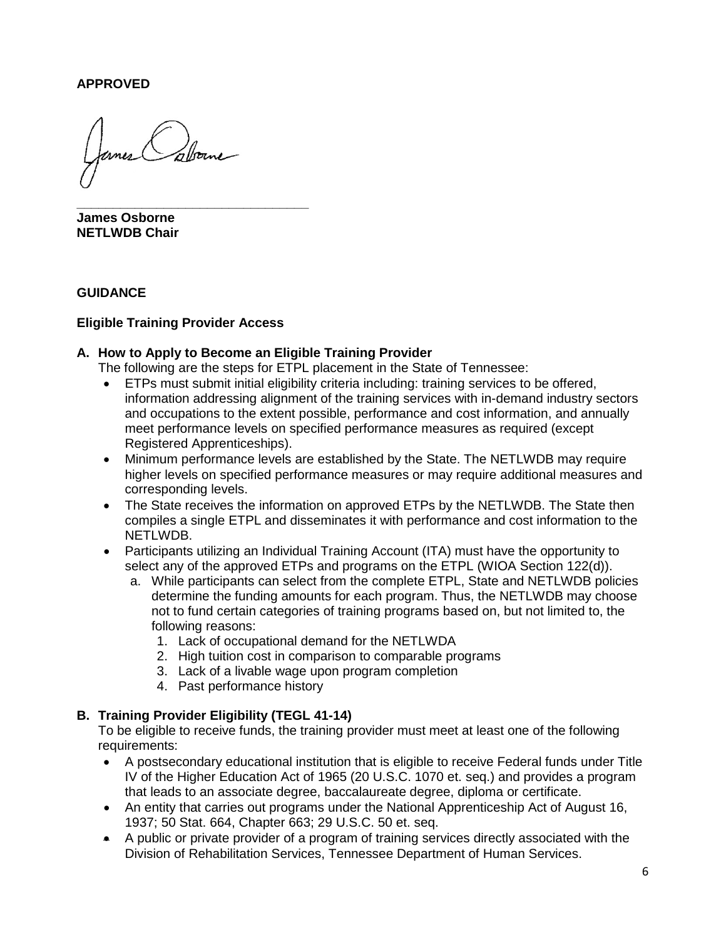#### **APPROVED**

**\_\_\_\_\_\_\_\_\_\_\_\_\_\_\_\_\_\_\_\_\_\_\_\_\_\_\_\_\_\_\_\_ James Osborne NETLWDB Chair**

#### **GUIDANCE**

#### **Eligible Training Provider Access**

#### **A. How to Apply to Become an Eligible Training Provider**

The following are the steps for ETPL placement in the State of Tennessee:

- ETPs must submit initial eligibility criteria including: training services to be offered, information addressing alignment of the training services with in-demand industry sectors and occupations to the extent possible, performance and cost information, and annually meet performance levels on specified performance measures as required (except Registered Apprenticeships).
- Minimum performance levels are established by the State. The NETLWDB may require higher levels on specified performance measures or may require additional measures and corresponding levels.
- The State receives the information on approved ETPs by the NETLWDB. The State then compiles a single ETPL and disseminates it with performance and cost information to the NETLWDB.
- Participants utilizing an Individual Training Account (ITA) must have the opportunity to select any of the approved ETPs and programs on the ETPL (WIOA Section 122(d)).
	- a. While participants can select from the complete ETPL, State and NETLWDB policies determine the funding amounts for each program. Thus, the NETLWDB may choose not to fund certain categories of training programs based on, but not limited to, the following reasons:
		- 1. Lack of occupational demand for the NETLWDA
		- 2. High tuition cost in comparison to comparable programs
		- 3. Lack of a livable wage upon program completion
		- 4. Past performance history

#### **B. Training Provider Eligibility (TEGL 41-14)**

To be eligible to receive funds, the training provider must meet at least one of the following requirements:

- A postsecondary educational institution that is eligible to receive Federal funds under Title IV of the Higher Education Act of 1965 (20 U.S.C. 1070 et. seq.) and provides a program that leads to an associate degree, baccalaureate degree, diploma or certificate.
- An entity that carries out programs under the National Apprenticeship Act of August 16, 1937; 50 Stat. 664, Chapter 663; 29 U.S.C. 50 et. seq.
- A public or private provider of a program of training services directly associated with the Division of Rehabilitation Services, Tennessee Department of Human Services.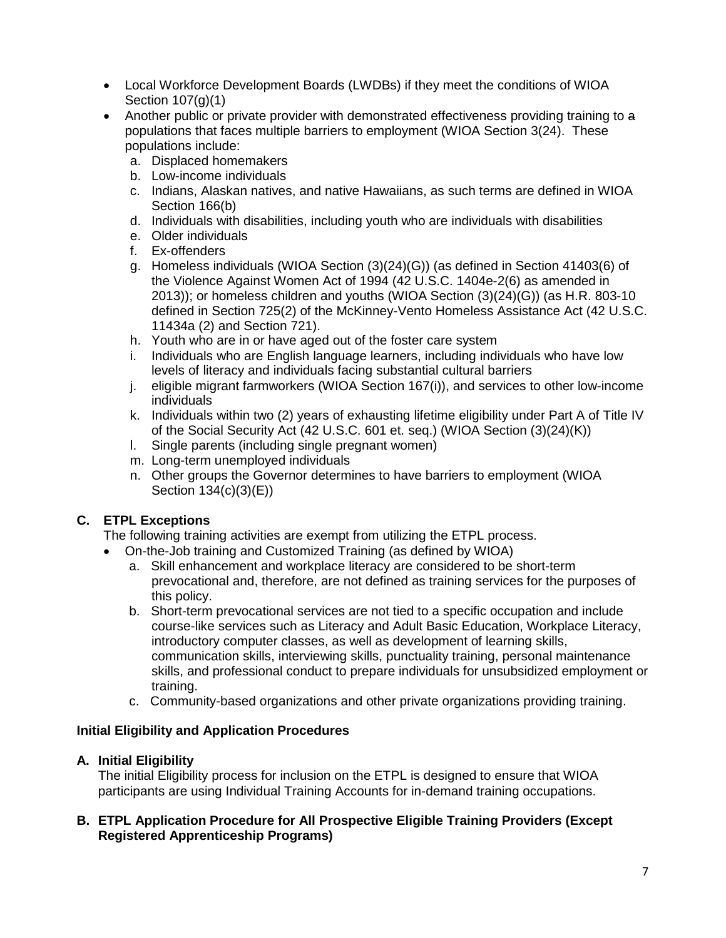- Local Workforce Development Boards (LWDBs) if they meet the conditions of WIOA Section 107(g)(1)
- Another public or private provider with demonstrated effectiveness providing training to a populations that faces multiple barriers to employment (WIOA Section 3(24). These populations include:
	- a. Displaced homemakers
	- b. Low-income individuals
	- c. Indians, Alaskan natives, and native Hawaiians, as such terms are defined in WIOA Section 166(b)
	- d. Individuals with disabilities, including youth who are individuals with disabilities
	- e. Older individuals
	- f. Ex-offenders
	- g. Homeless individuals (WIOA Section (3)(24)(G)) (as defined in Section 41403(6) of the Violence Against Women Act of 1994 (42 U.S.C. 1404e-2(6) as amended in 2013)); or homeless children and youths (WIOA Section (3)(24)(G)) (as H.R. 803-10 defined in Section 725(2) of the McKinney-Vento Homeless Assistance Act (42 U.S.C. 11434a (2) and Section 721).
	- h. Youth who are in or have aged out of the foster care system
	- i. Individuals who are English language learners, including individuals who have low levels of literacy and individuals facing substantial cultural barriers
	- j. eligible migrant farmworkers (WIOA Section 167(i)), and services to other low-income individuals
	- k. Individuals within two (2) years of exhausting lifetime eligibility under Part A of Title IV of the Social Security Act (42 U.S.C. 601 et. seq.) (WIOA Section (3)(24)(K))
	- l. Single parents (including single pregnant women)
	- m. Long-term unemployed individuals
	- n. Other groups the Governor determines to have barriers to employment (WIOA Section 134(c)(3)(E))

# **C. ETPL Exceptions**

The following training activities are exempt from utilizing the ETPL process.

- On-the-Job training and Customized Training (as defined by WIOA)
	- a. Skill enhancement and workplace literacy are considered to be short-term prevocational and, therefore, are not defined as training services for the purposes of this policy.
	- b. Short-term prevocational services are not tied to a specific occupation and include course-like services such as Literacy and Adult Basic Education, Workplace Literacy, introductory computer classes, as well as development of learning skills, communication skills, interviewing skills, punctuality training, personal maintenance skills, and professional conduct to prepare individuals for unsubsidized employment or training.
	- c. Community-based organizations and other private organizations providing training.

# **Initial Eligibility and Application Procedures**

# **A. Initial Eligibility**

The initial Eligibility process for inclusion on the ETPL is designed to ensure that WIOA participants are using Individual Training Accounts for in-demand training occupations.

### **B. ETPL Application Procedure for All Prospective Eligible Training Providers (Except Registered Apprenticeship Programs)**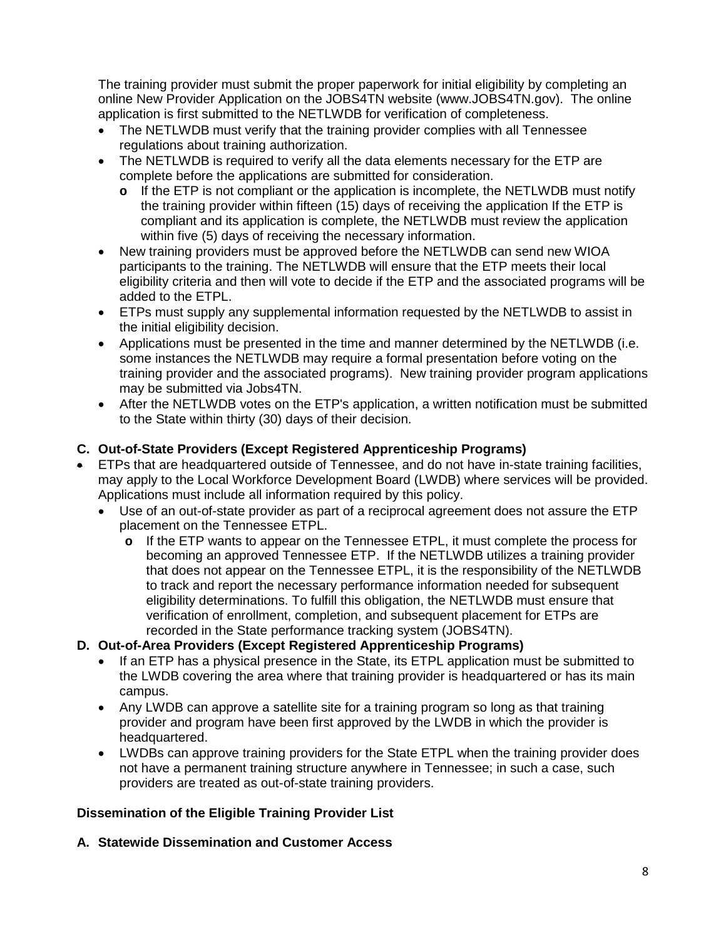The training provider must submit the proper paperwork for initial eligibility by completing an online New Provider Application on the JOBS4TN website (www.JOBS4TN.gov). The online application is first submitted to the NETLWDB for verification of completeness.

- The NETLWDB must verify that the training provider complies with all Tennessee regulations about training authorization.
- The NETLWDB is required to verify all the data elements necessary for the ETP are complete before the applications are submitted for consideration.
	- **o** If the ETP is not compliant or the application is incomplete, the NETLWDB must notify the training provider within fifteen (15) days of receiving the application If the ETP is compliant and its application is complete, the NETLWDB must review the application within five (5) days of receiving the necessary information.
- New training providers must be approved before the NETLWDB can send new WIOA participants to the training. The NETLWDB will ensure that the ETP meets their local eligibility criteria and then will vote to decide if the ETP and the associated programs will be added to the ETPL.
- ETPs must supply any supplemental information requested by the NETLWDB to assist in the initial eligibility decision.
- Applications must be presented in the time and manner determined by the NETLWDB (i.e. some instances the NETLWDB may require a formal presentation before voting on the training provider and the associated programs). New training provider program applications may be submitted via Jobs4TN.
- After the NETLWDB votes on the ETP's application, a written notification must be submitted to the State within thirty (30) days of their decision.

# **C. Out-of-State Providers (Except Registered Apprenticeship Programs)**

- ETPs that are headquartered outside of Tennessee, and do not have in-state training facilities, may apply to the Local Workforce Development Board (LWDB) where services will be provided. Applications must include all information required by this policy.
	- Use of an out-of-state provider as part of a reciprocal agreement does not assure the ETP placement on the Tennessee ETPL.
		- **o** If the ETP wants to appear on the Tennessee ETPL, it must complete the process for becoming an approved Tennessee ETP. If the NETLWDB utilizes a training provider that does not appear on the Tennessee ETPL, it is the responsibility of the NETLWDB to track and report the necessary performance information needed for subsequent eligibility determinations. To fulfill this obligation, the NETLWDB must ensure that verification of enrollment, completion, and subsequent placement for ETPs are recorded in the State performance tracking system (JOBS4TN).

### **D. Out-of-Area Providers (Except Registered Apprenticeship Programs)**

- If an ETP has a physical presence in the State, its ETPL application must be submitted to the LWDB covering the area where that training provider is headquartered or has its main campus.
- Any LWDB can approve a satellite site for a training program so long as that training provider and program have been first approved by the LWDB in which the provider is headquartered.
- LWDBs can approve training providers for the State ETPL when the training provider does not have a permanent training structure anywhere in Tennessee; in such a case, such providers are treated as out-of-state training providers.

### **Dissemination of the Eligible Training Provider List**

### **A. Statewide Dissemination and Customer Access**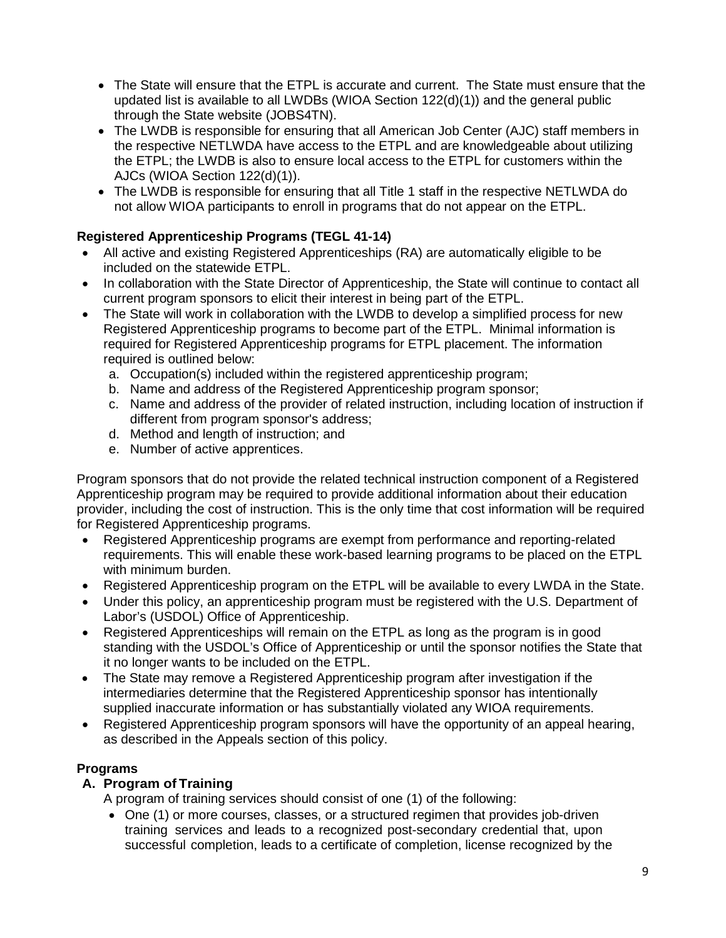- The State will ensure that the ETPL is accurate and current. The State must ensure that the updated list is available to all LWDBs (WIOA Section 122(d)(1)) and the general public through the State website (JOBS4TN).
- The LWDB is responsible for ensuring that all American Job Center (AJC) staff members in the respective NETLWDA have access to the ETPL and are knowledgeable about utilizing the ETPL; the LWDB is also to ensure local access to the ETPL for customers within the AJCs (WIOA Section 122(d)(1)).
- The LWDB is responsible for ensuring that all Title 1 staff in the respective NETLWDA do not allow WIOA participants to enroll in programs that do not appear on the ETPL.

# **Registered Apprenticeship Programs (TEGL 41-14)**

- All active and existing Registered Apprenticeships (RA) are automatically eligible to be included on the statewide ETPL.
- In collaboration with the State Director of Apprenticeship, the State will continue to contact all current program sponsors to elicit their interest in being part of the ETPL.
- The State will work in collaboration with the LWDB to develop a simplified process for new Registered Apprenticeship programs to become part of the ETPL. Minimal information is required for Registered Apprenticeship programs for ETPL placement. The information required is outlined below:
	- a. Occupation(s) included within the registered apprenticeship program;
	- b. Name and address of the Registered Apprenticeship program sponsor;
	- c. Name and address of the provider of related instruction, including location of instruction if different from program sponsor's address;
	- d. Method and length of instruction; and
	- e. Number of active apprentices.

Program sponsors that do not provide the related technical instruction component of a Registered Apprenticeship program may be required to provide additional information about their education provider, including the cost of instruction. This is the only time that cost information will be required for Registered Apprenticeship programs.

- Registered Apprenticeship programs are exempt from performance and reporting-related requirements. This will enable these work-based learning programs to be placed on the ETPL with minimum burden.
- Registered Apprenticeship program on the ETPL will be available to every LWDA in the State.
- Under this policy, an apprenticeship program must be registered with the U.S. Department of Labor's (USDOL) Office of Apprenticeship.
- Registered Apprenticeships will remain on the ETPL as long as the program is in good standing with the USDOL's Office of Apprenticeship or until the sponsor notifies the State that it no longer wants to be included on the ETPL.
- The State may remove a Registered Apprenticeship program after investigation if the intermediaries determine that the Registered Apprenticeship sponsor has intentionally supplied inaccurate information or has substantially violated any WIOA requirements.
- Registered Apprenticeship program sponsors will have the opportunity of an appeal hearing, as described in the Appeals section of this policy.

### **Programs**

### **A. Program of Training**

A program of training services should consist of one (1) of the following:

• One (1) or more courses, classes, or a structured regimen that provides job-driven training services and leads to a recognized post-secondary credential that, upon successful completion, leads to a certificate of completion, license recognized by the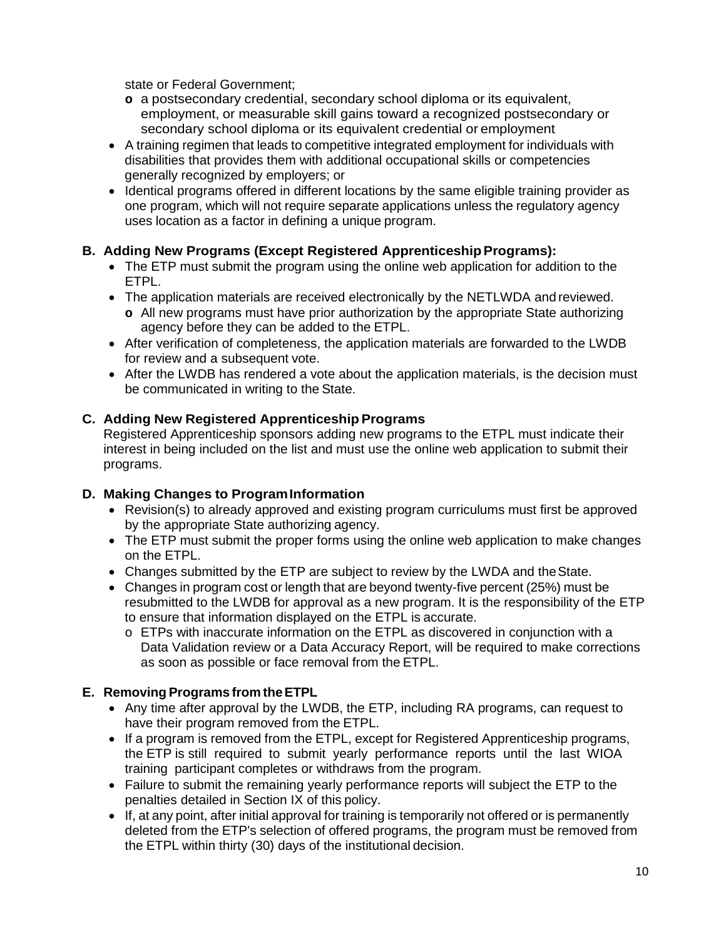state or Federal Government;

- **o** a postsecondary credential, secondary school diploma or its equivalent, employment, or measurable skill gains toward a recognized postsecondary or secondary school diploma or its equivalent credential or employment
- A training regimen that leads to competitive integrated employment for individuals with disabilities that provides them with additional occupational skills or competencies generally recognized by employers; or
- Identical programs offered in different locations by the same eligible training provider as one program, which will not require separate applications unless the regulatory agency uses location as a factor in defining a unique program.

### **B.** Adding New Programs (Except Registered Apprenticeship Programs):

- The ETP must submit the program using the online web application for addition to the ETPL.
- The application materials are received electronically by the NETLWDA and reviewed. **o** All new programs must have prior authorization by the appropriate State authorizing agency before they can be added to the ETPL.
- After verification of completeness, the application materials are forwarded to the LWDB for review and a subsequent vote.
- After the LWDB has rendered a vote about the application materials, is the decision must be communicated in writing to the State.

# **C. Adding New Registered ApprenticeshipPrograms**

Registered Apprenticeship sponsors adding new programs to the ETPL must indicate their interest in being included on the list and must use the online web application to submit their programs.

### **D. Making Changes to ProgramInformation**

- Revision(s) to already approved and existing program curriculums must first be approved by the appropriate State authorizing agency.
- The ETP must submit the proper forms using the online web application to make changes on the ETPL.
- Changes submitted by the ETP are subject to review by the LWDA and the State.
- Changes in program cost or length that are beyond twenty-five percent (25%) must be resubmitted to the LWDB for approval as a new program. It is the responsibility of the ETP to ensure that information displayed on the ETPL is accurate.
	- o ETPs with inaccurate information on the ETPL as discovered in conjunction with a Data Validation review or a Data Accuracy Report, will be required to make corrections as soon as possible or face removal from the ETPL.

### **E. Removing Programs from theETPL**

- Any time after approval by the LWDB, the ETP, including RA programs, can request to have their program removed from the ETPL.
- If a program is removed from the ETPL, except for Registered Apprenticeship programs, the ETP is still required to submit yearly performance reports until the last WIOA training participant completes or withdraws from the program.
- Failure to submit the remaining yearly performance reports will subject the ETP to the penalties detailed in Section IX of this policy.
- If, at any point, after initial approval for training is temporarily not offered or is permanently deleted from the ETP's selection of offered programs, the program must be removed from the ETPL within thirty (30) days of the institutional decision.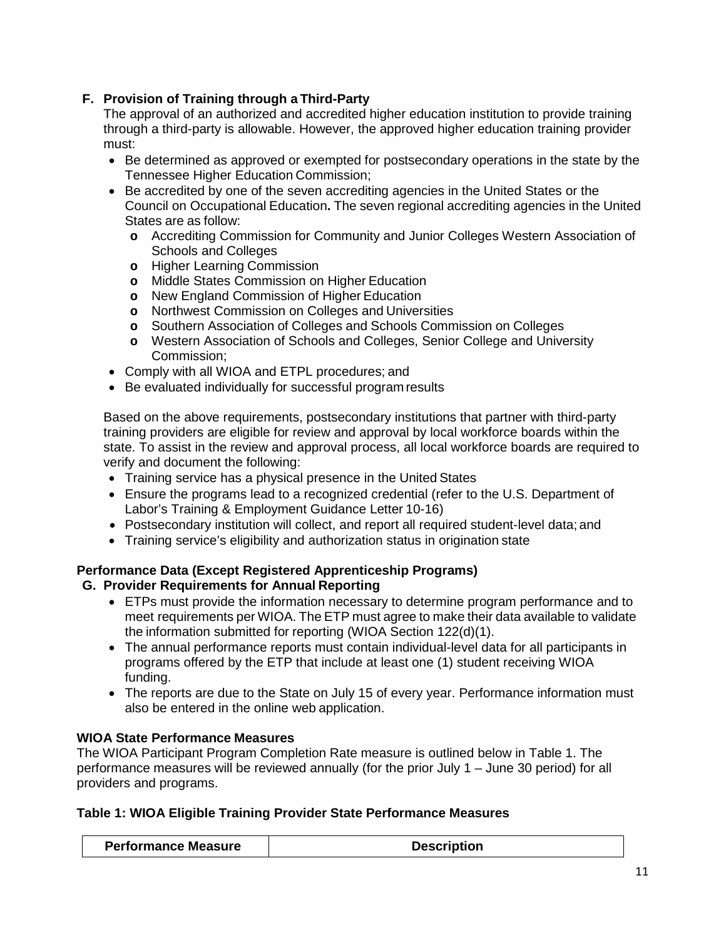# **F. Provision of Training through a Third-Party**

The approval of an authorized and accredited higher education institution to provide training through a third-party is allowable. However, the approved higher education training provider must:

- Be determined as approved or exempted for postsecondary operations in the state by the Tennessee Higher Education Commission;
- Be accredited by one of the seven accrediting agencies in the United States or the Council on Occupational Education**.** The seven regional accrediting agencies in the United States are as follow:
	- **o** Accrediting Commission for Community and Junior Colleges Western Association of Schools and Colleges
	- **o** Higher Learning Commission
	- **o** Middle States Commission on Higher Education
	- **o** New England Commission of Higher Education
	- **o** Northwest Commission on Colleges and Universities
	- **o** Southern Association of Colleges and Schools Commission on Colleges
	- **o** Western Association of Schools and Colleges, Senior College and University Commission;
- Comply with all WIOA and ETPL procedures; and
- Be evaluated individually for successful program results

Based on the above requirements, postsecondary institutions that partner with third-party training providers are eligible for review and approval by local workforce boards within the state. To assist in the review and approval process, all local workforce boards are required to verify and document the following:

- Training service has a physical presence in the United States
- Ensure the programs lead to a recognized credential (refer to the U.S. Department of Labor's Training & Employment Guidance Letter 10-16)
- Postsecondary institution will collect, and report all required student-level data; and
- Training service's eligibility and authorization status in origination state

#### **Performance Data (Except Registered Apprenticeship Programs) G. Provider Requirements for Annual Reporting**

- ETPs must provide the information necessary to determine program performance and to meet requirements per WIOA. The ETP must agree to make their data available to validate the information submitted for reporting (WIOA Section 122(d)(1).
- The annual performance reports must contain individual-level data for all participants in programs offered by the ETP that include at least one (1) student receiving WIOA funding.
- The reports are due to the State on July 15 of every year. Performance information must also be entered in the online web application.

### **WIOA State Performance Measures**

The WIOA Participant Program Completion Rate measure is outlined below in Table 1. The performance measures will be reviewed annually (for the prior July 1 – June 30 period) for all providers and programs.

#### **Table 1: WIOA Eligible Training Provider State Performance Measures**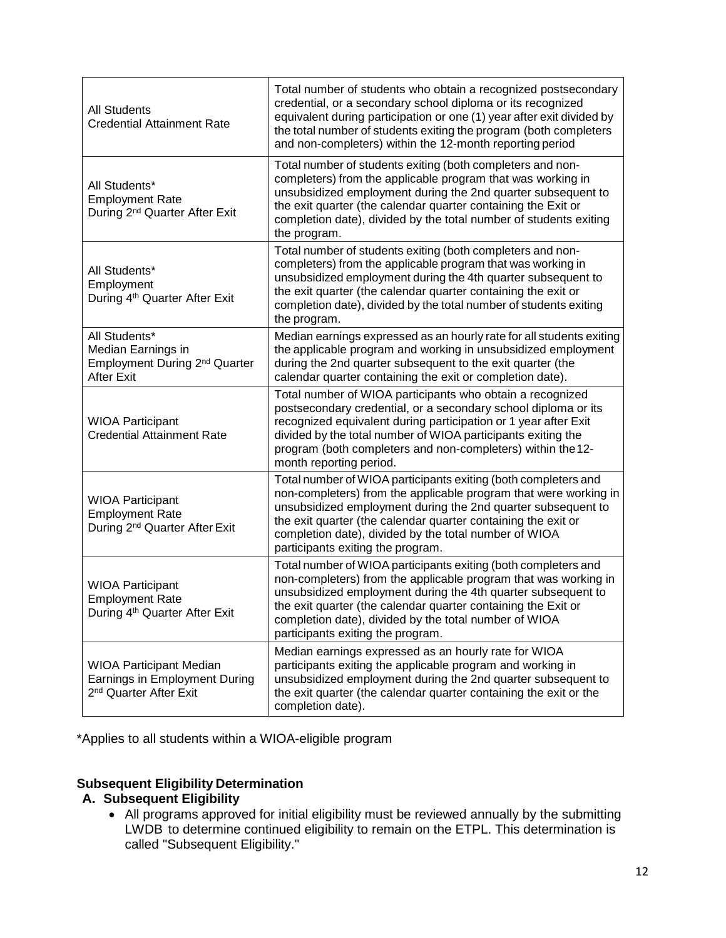| <b>All Students</b><br><b>Credential Attainment Rate</b>                                              | Total number of students who obtain a recognized postsecondary<br>credential, or a secondary school diploma or its recognized<br>equivalent during participation or one (1) year after exit divided by<br>the total number of students exiting the program (both completers<br>and non-completers) within the 12-month reporting period                           |
|-------------------------------------------------------------------------------------------------------|-------------------------------------------------------------------------------------------------------------------------------------------------------------------------------------------------------------------------------------------------------------------------------------------------------------------------------------------------------------------|
| All Students*<br><b>Employment Rate</b><br>During 2 <sup>nd</sup> Quarter After Exit                  | Total number of students exiting (both completers and non-<br>completers) from the applicable program that was working in<br>unsubsidized employment during the 2nd quarter subsequent to<br>the exit quarter (the calendar quarter containing the Exit or<br>completion date), divided by the total number of students exiting<br>the program.                   |
| All Students*<br>Employment<br>During 4 <sup>th</sup> Quarter After Exit                              | Total number of students exiting (both completers and non-<br>completers) from the applicable program that was working in<br>unsubsidized employment during the 4th quarter subsequent to<br>the exit quarter (the calendar quarter containing the exit or<br>completion date), divided by the total number of students exiting<br>the program.                   |
| All Students*<br>Median Earnings in<br>Employment During 2 <sup>nd</sup> Quarter<br><b>After Exit</b> | Median earnings expressed as an hourly rate for all students exiting<br>the applicable program and working in unsubsidized employment<br>during the 2nd quarter subsequent to the exit quarter (the<br>calendar quarter containing the exit or completion date).                                                                                                  |
| <b>WIOA Participant</b><br><b>Credential Attainment Rate</b>                                          | Total number of WIOA participants who obtain a recognized<br>postsecondary credential, or a secondary school diploma or its<br>recognized equivalent during participation or 1 year after Exit<br>divided by the total number of WIOA participants exiting the<br>program (both completers and non-completers) within the 12-<br>month reporting period.          |
| <b>WIOA Participant</b><br><b>Employment Rate</b><br>During 2 <sup>nd</sup> Quarter After Exit        | Total number of WIOA participants exiting (both completers and<br>non-completers) from the applicable program that were working in<br>unsubsidized employment during the 2nd quarter subsequent to<br>the exit quarter (the calendar quarter containing the exit or<br>completion date), divided by the total number of WIOA<br>participants exiting the program. |
| <b>WIOA Participant</b><br><b>Employment Rate</b><br>During 4 <sup>th</sup> Quarter After Exit        | Total number of WIOA participants exiting (both completers and<br>non-completers) from the applicable program that was working in<br>unsubsidized employment during the 4th quarter subsequent to<br>the exit quarter (the calendar quarter containing the Exit or<br>completion date), divided by the total number of WIOA<br>participants exiting the program.  |
| <b>WIOA Participant Median</b><br>Earnings in Employment During<br>2 <sup>nd</sup> Quarter After Exit | Median earnings expressed as an hourly rate for WIOA<br>participants exiting the applicable program and working in<br>unsubsidized employment during the 2nd quarter subsequent to<br>the exit quarter (the calendar quarter containing the exit or the<br>completion date).                                                                                      |

\*Applies to all students within a WIOA-eligible program

# **Subsequent Eligibility Determination**

#### **A. Subsequent Eligibility**

• All programs approved for initial eligibility must be reviewed annually by the submitting LWDB to determine continued eligibility to remain on the ETPL. This determination is called "Subsequent Eligibility."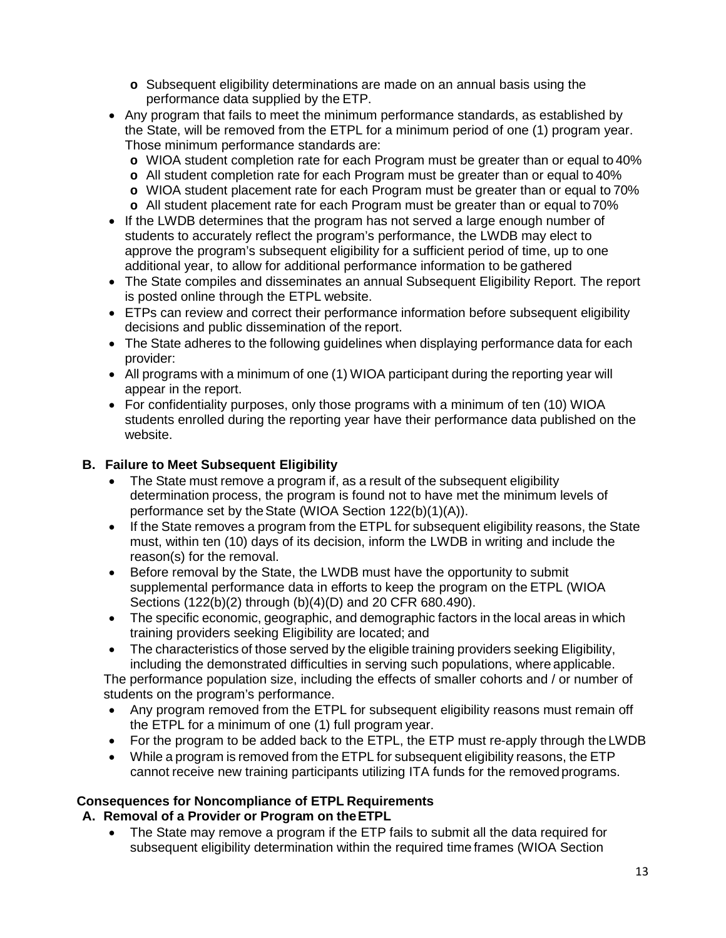- **o** Subsequent eligibility determinations are made on an annual basis using the performance data supplied by the ETP.
- Any program that fails to meet the minimum performance standards, as established by the State, will be removed from the ETPL for a minimum period of one (1) program year. Those minimum performance standards are:
	- **o** WIOA student completion rate for each Program must be greater than or equal to 40%
	- **o** All student completion rate for each Program must be greater than or equal to 40%
	- **o** WIOA student placement rate for each Program must be greater than or equal to 70%
	- **o** All student placement rate for each Program must be greater than or equal to70%
- If the LWDB determines that the program has not served a large enough number of students to accurately reflect the program's performance, the LWDB may elect to approve the program's subsequent eligibility for a sufficient period of time, up to one additional year, to allow for additional performance information to be gathered
- The State compiles and disseminates an annual Subsequent Eligibility Report. The report is posted online through the ETPL website.
- ETPs can review and correct their performance information before subsequent eligibility decisions and public dissemination of the report.
- The State adheres to the following guidelines when displaying performance data for each provider:
- All programs with a minimum of one (1) WIOA participant during the reporting year will appear in the report.
- For confidentiality purposes, only those programs with a minimum of ten (10) WIOA students enrolled during the reporting year have their performance data published on the website.

#### **B. Failure to Meet Subsequent Eligibility**

- The State must remove a program if, as a result of the subsequent eligibility determination process, the program is found not to have met the minimum levels of performance set by theState (WIOA Section 122(b)(1)(A)).
- If the State removes a program from the ETPL for subsequent eligibility reasons, the State must, within ten (10) days of its decision, inform the LWDB in writing and include the reason(s) for the removal.
- Before removal by the State, the LWDB must have the opportunity to submit supplemental performance data in efforts to keep the program on the ETPL (WIOA Sections (122(b)(2) through (b)(4)(D) and 20 CFR 680.490).
- The specific economic, geographic, and demographic factors in the local areas in which training providers seeking Eligibility are located; and
- The characteristics of those served by the eligible training providers seeking Eligibility, including the demonstrated difficulties in serving such populations, where applicable.

The performance population size, including the effects of smaller cohorts and / or number of students on the program's performance.

- Any program removed from the ETPL for subsequent eligibility reasons must remain off the ETPL for a minimum of one (1) full program year.
- For the program to be added back to the ETPL, the ETP must re-apply through the LWDB
- While a program is removed from the ETPL for subsequent eligibility reasons, the ETP cannot receive new training participants utilizing ITA funds for the removedprograms.

### **Consequences for Noncompliance of ETPL Requirements**

#### **A. Removal of a Provider or Program on theETPL**

• The State may remove a program if the ETP fails to submit all the data required for subsequent eligibility determination within the required time frames (WIOA Section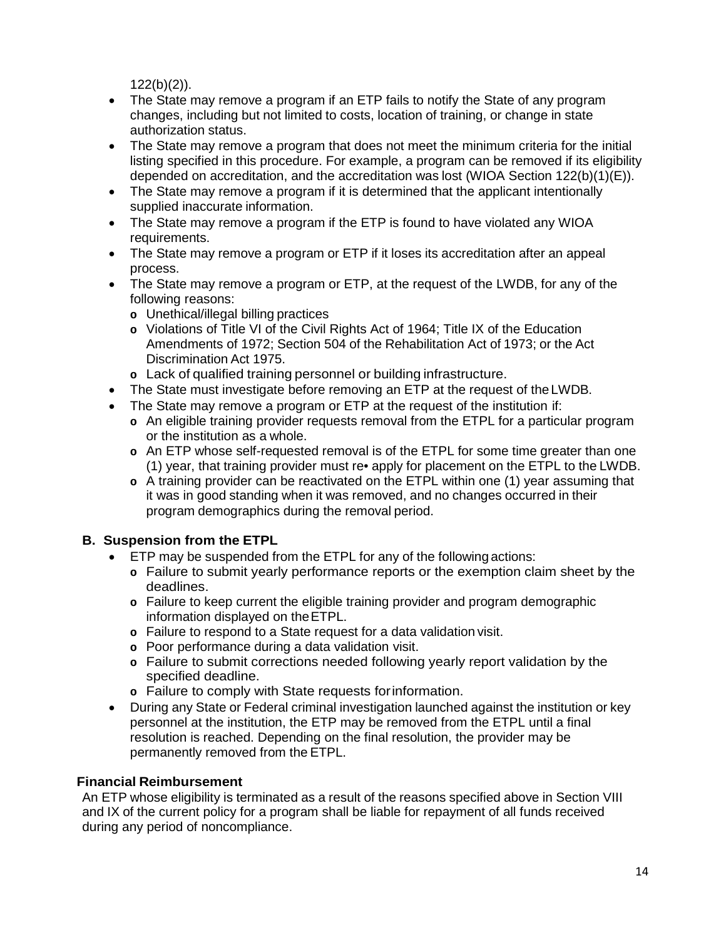$122(b)(2)$ ).

- The State may remove a program if an ETP fails to notify the State of any program changes, including but not limited to costs, location of training, or change in state authorization status.
- The State may remove a program that does not meet the minimum criteria for the initial listing specified in this procedure. For example, a program can be removed if its eligibility depended on accreditation, and the accreditation was lost (WIOA Section 122(b)(1)(E)).
- The State may remove a program if it is determined that the applicant intentionally supplied inaccurate information.
- The State may remove a program if the ETP is found to have violated any WIOA requirements.
- The State may remove a program or ETP if it loses its accreditation after an appeal process.
- The State may remove a program or ETP, at the request of the LWDB, for any of the following reasons:
	- **o** Unethical/illegal billing practices
	- **o** Violations of Title VI of the Civil Rights Act of 1964; Title IX of the Education Amendments of 1972; Section 504 of the Rehabilitation Act of 1973; or the Act Discrimination Act 1975.
	- **o** Lack of qualified training personnel or building infrastructure.
- The State must investigate before removing an ETP at the request of the LWDB.
- The State may remove a program or ETP at the request of the institution if:
	- **o** An eligible training provider requests removal from the ETPL for a particular program or the institution as a whole.
	- **o** An ETP whose self-requested removal is of the ETPL for some time greater than one (1) year, that training provider must re• apply for placement on the ETPL to the LWDB.
	- **o** A training provider can be reactivated on the ETPL within one (1) year assuming that it was in good standing when it was removed, and no changes occurred in their program demographics during the removal period.

### **B. Suspension from the ETPL**

- ETP may be suspended from the ETPL for any of the following actions:
	- **o** Failure to submit yearly performance reports or the exemption claim sheet by the deadlines.
	- **o** Failure to keep current the eligible training provider and program demographic information displayed on theETPL.
	- **o** Failure to respond to a State request for a data validation visit.
	- **o** Poor performance during a data validation visit.
	- **o** Failure to submit corrections needed following yearly report validation by the specified deadline.
	- **o** Failure to comply with State requests forinformation.
- During any State or Federal criminal investigation launched against the institution or key personnel at the institution, the ETP may be removed from the ETPL until a final resolution is reached. Depending on the final resolution, the provider may be permanently removed from the ETPL.

#### **Financial Reimbursement**

An ETP whose eligibility is terminated as a result of the reasons specified above in Section VIII and IX of the current policy for a program shall be liable for repayment of all funds received during any period of noncompliance.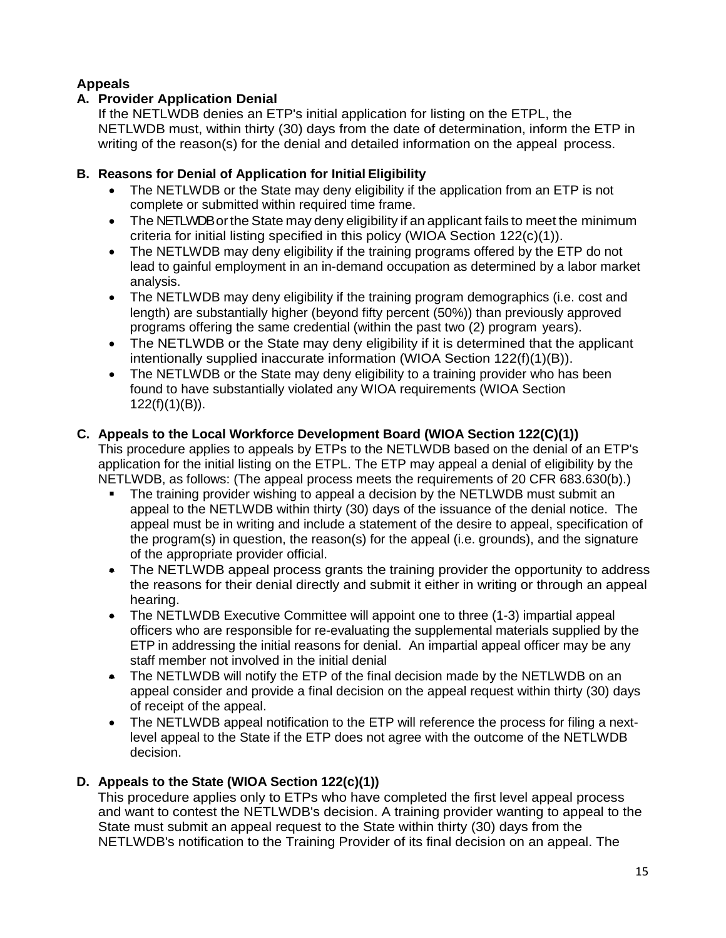# **Appeals**

### **A. Provider Application Denial**

If the NETLWDB denies an ETP's initial application for listing on the ETPL, the NETLWDB must, within thirty (30) days from the date of determination, inform the ETP in writing of the reason(s) for the denial and detailed information on the appeal process.

### **B. Reasons for Denial of Application for Initial Eligibility**

- The NETLWDB or the State may deny eligibility if the application from an ETP is not complete or submitted within required time frame.
- The NETLWDB or the State may deny eligibility if an applicant fails to meet the minimum criteria for initial listing specified in this policy (WIOA Section 122(c)(1)).
- The NETLWDB may deny eligibility if the training programs offered by the ETP do not lead to gainful employment in an in-demand occupation as determined by a labor market analysis.
- The NETLWDB may deny eligibility if the training program demographics (i.e. cost and length) are substantially higher (beyond fifty percent (50%)) than previously approved programs offering the same credential (within the past two (2) program years).
- The NETLWDB or the State may deny eligibility if it is determined that the applicant intentionally supplied inaccurate information (WIOA Section 122(f)(1)(B)).
- The NETLWDB or the State may deny eligibility to a training provider who has been found to have substantially violated any WIOA requirements (WIOA Section 122(f)(1)(B)).

### **C. Appeals to the Local Workforce Development Board (WIOA Section 122(C)(1))**

This procedure applies to appeals by ETPs to the NETLWDB based on the denial of an ETP's application for the initial listing on the ETPL. The ETP may appeal a denial of eligibility by the NETLWDB, as follows: (The appeal process meets the requirements of 20 CFR 683.630(b).)

- The training provider wishing to appeal a decision by the NETLWDB must submit an appeal to the NETLWDB within thirty (30) days of the issuance of the denial notice. The appeal must be in writing and include a statement of the desire to appeal, specification of the program(s) in question, the reason(s) for the appeal (i.e. grounds), and the signature of the appropriate provider official.
- The NETLWDB appeal process grants the training provider the opportunity to address the reasons for their denial directly and submit it either in writing or through an appeal hearing.
- The NETLWDB Executive Committee will appoint one to three (1-3) impartial appeal officers who are responsible for re-evaluating the supplemental materials supplied by the ETP in addressing the initial reasons for denial. An impartial appeal officer may be any staff member not involved in the initial denial
- The NETLWDB will notify the ETP of the final decision made by the NETLWDB on an appeal consider and provide a final decision on the appeal request within thirty (30) days of receipt of the appeal.
- The NETLWDB appeal notification to the ETP will reference the process for filing a nextlevel appeal to the State if the ETP does not agree with the outcome of the NETLWDB decision.

# **D. Appeals to the State (WIOA Section 122(c)(1))**

This procedure applies only to ETPs who have completed the first level appeal process and want to contest the NETLWDB's decision. A training provider wanting to appeal to the State must submit an appeal request to the State within thirty (30) days from the NETLWDB's notification to the Training Provider of its final decision on an appeal. The